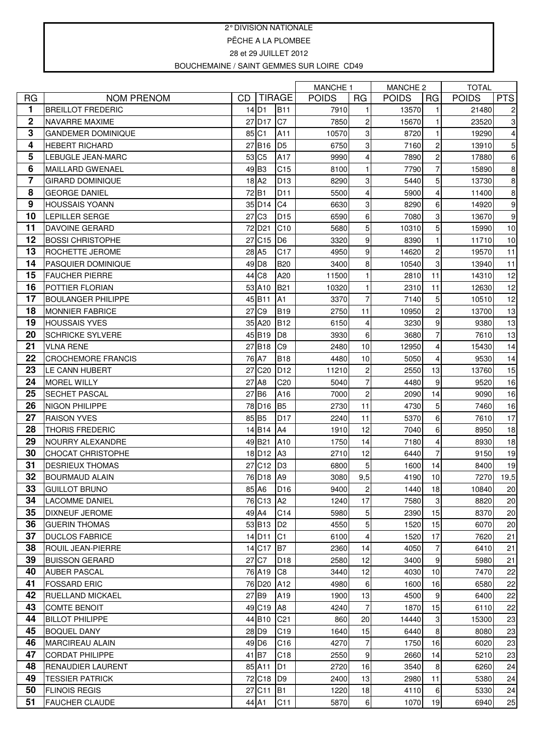## 2° DIVISION NATIONALE PËCHE A LA PLOMBEE 28 et 29 JUILLET 2012 BOUCHEMAINE / SAINT GEMMES SUR LOIRE CD49

|                         |                                                    |    |                           |                       | <b>MANCHE 1</b> |                | MANCHE 2     |                     | <b>TOTAL</b> |            |
|-------------------------|----------------------------------------------------|----|---------------------------|-----------------------|-----------------|----------------|--------------|---------------------|--------------|------------|
| <b>RG</b>               | <b>NOM PRENOM</b>                                  | CD |                           | <b>TIRAGE</b>         | <b>POIDS</b>    | RG             | <b>POIDS</b> | <b>RG</b>           | <b>POIDS</b> | <b>PTS</b> |
| 1                       | <b>BREILLOT FREDERIC</b>                           |    | $14$ D <sub>1</sub>       | <b>B11</b>            | 7910            | 1              | 13570        | 1                   | 21480        | 2          |
| $\mathbf 2$             | <b>NAVARRE MAXIME</b>                              |    | 27 D <sub>17</sub>        | C7                    | 7850            | $\overline{c}$ | 15670        |                     | 23520        | 3          |
| 3                       | <b>GANDEMER DOMINIQUE</b>                          |    | 85 C1                     | A11                   | 10570           | 3              | 8720         |                     | 19290        | 4          |
| 4                       | <b>HEBERT RICHARD</b>                              |    | 27B16                     | D <sub>5</sub>        | 6750            | 3              | 7160         | $\overline{c}$      | 13910        | 5          |
| 5                       | LEBUGLE JEAN-MARC                                  |    | 53 C <sub>5</sub>         | A17                   | 9990            | 4              | 7890         | 2                   | 17880        | 6          |
| 6                       | <b>MAILLARD GWENAEL</b>                            |    | 49 B <sub>3</sub>         | C <sub>15</sub>       | 8100            | 1              | 7790         | 7                   | 15890        | 8          |
| $\overline{\mathbf{7}}$ | <b>GIRARD DOMINIQUE</b>                            |    | 18 A <sub>2</sub>         | D <sub>13</sub>       | 8290            | 3              | 5440         | 5                   | 13730        | 8          |
| 8                       | <b>GEORGE DANIEL</b>                               |    | 72B1                      | D <sub>11</sub>       | 5500            | 4              | 5900         | 4                   | 11400        | 8          |
| 9                       | <b>HOUSSAIS YOANN</b>                              |    | 35 D <sub>14</sub>        | C <sub>4</sub>        | 6630            | 3              | 8290         | 6                   | 14920        | 9          |
| 10                      | <b>LEPILLER SERGE</b>                              |    | 27 C <sub>3</sub>         | D <sub>15</sub>       | 6590            | 6              | 7080         | 3                   | 13670        | 9          |
| 11                      | <b>DAVOINE GERARD</b>                              |    | 72 D <sub>21</sub>        | C10                   | 5680            | 5              | 10310        | 5                   | 15990        | 10         |
| 12                      | <b>BOSSI CHRISTOPHE</b>                            | 27 | C <sub>15</sub>           | D <sub>6</sub>        | 3320            | 9              | 8390         | $\mathbf{1}$        | 11710        | 10         |
| 13                      | <b>ROCHETTE JEROME</b>                             |    | 28 A5                     | C <sub>17</sub>       | 4950            | 9              | 14620        | 2                   | 19570        | 11         |
| 14                      | <b>PASQUIER DOMINIQUE</b>                          |    | 49 D8                     | <b>B20</b>            | 3400            | 8              | 10540        | 3                   | 13940        | 11         |
| 15                      | <b>FAUCHER PIERRE</b>                              | 44 | C <sub>8</sub>            | A20                   | 11500           | 1              | 2810         | 11                  | 14310        | 12         |
| 16                      | <b>POTTIER FLORIAN</b>                             |    | 53 A10                    | <b>B21</b>            | 10320           | 1              | 2310         | 11                  | 12630        | 12         |
| 17                      | <b>BOULANGER PHILIPPE</b>                          |    | 45 B11                    | A <sub>1</sub>        | 3370            | $\overline{7}$ | 7140         | 5                   | 10510        | 12         |
| 18                      | <b>MONNIER FABRICE</b>                             | 27 | C <sub>9</sub>            | <b>B19</b>            | 2750            | 11             | 10950        | 2                   | 13700        | 13         |
| 19                      | <b>HOUSSAIS YVES</b>                               |    | 35 A20                    | <b>B12</b>            | 6150            | 4              | 3230         | 9                   | 9380         | 13         |
| 20                      | <b>SCHRICKE SYLVERE</b>                            |    | 45 B19                    | D <sub>8</sub>        | 3930            | 6              | 3680         | $\overline{7}$      | 7610         | 13         |
| 21                      | <b>VLNA RENE</b>                                   |    | 27 B18                    | C <sub>9</sub>        | 2480            | 10             | 12950        | 4                   | 15430        | 14         |
| 22                      | <b>CROCHEMORE FRANCIS</b>                          |    | 76 A7                     | <b>B18</b>            | 4480            | 10             | 5050         | 4                   | 9530         | 14         |
| 23                      | LE CANN HUBERT                                     | 27 | C <sub>20</sub>           | D <sub>12</sub>       | 11210           | 2              | 2550         | 13                  | 13760        | 15         |
| 24                      | <b>MOREL WILLY</b>                                 |    | 27 A8                     | C <sub>20</sub>       | 5040            | $\overline{7}$ | 4480         | 9                   | 9520         | 16         |
| 25                      | <b>SECHET PASCAL</b>                               |    | 27B6                      | A16                   | 7000            | $\overline{c}$ | 2090         | 14                  | 9090         | 16         |
| 26<br>27                | <b>NIGON PHILIPPE</b>                              |    | 78 D <sub>16</sub>        | <b>B5</b>             | 2730            | 11             | 4730         | 5                   | 7460         | 16         |
| 28                      | <b>RAISON YVES</b>                                 |    | 85 B5                     | <b>D17</b>            | 2240            | 11             | 5370         | 6                   | 7610         | 17         |
|                         | <b>THORIS FREDERIC</b>                             |    | 14 B14                    | A4                    | 1910            | 12             | 7040         | 6                   | 8950         | 18         |
| 29<br>30                | NOURRY ALEXANDRE                                   |    | 49 B21                    | A10<br>A <sub>3</sub> | 1750            | 14             | 7180         | 4<br>$\overline{7}$ | 8930         | 18         |
| 31                      | <b>CHOCAT CHRISTOPHE</b><br><b>DESRIEUX THOMAS</b> | 27 | 18 D <sub>12</sub><br>C12 | D <sub>3</sub>        | 2710<br>6800    | 12<br>5        | 6440<br>1600 | 14                  | 9150<br>8400 | 19<br>19   |
| 32                      | <b>BOURMAUD ALAIN</b>                              |    | 76 D <sub>18</sub>        | A <sub>9</sub>        | 3080            | 9,5            | 4190         | 10                  | 7270         | 19,5       |
| 33                      | <b>GUILLOT BRUNO</b>                               |    | 85 A6                     | D <sub>16</sub>       | 9400            | $\mathbf{2}$   | 1440         | 18                  | 10840        | 20         |
| 34                      | <b>LACOMME DANIEL</b>                              |    | 76 C <sub>13</sub>        | A <sub>2</sub>        | 1240            | 17             | 7580         | 3                   | 8820         | 20         |
| 35                      | <b>DIXNEUF JEROME</b>                              |    | 49 A4                     | C14                   | 5980            | 5              | 2390         | 15                  | 8370         | 20         |
| 36                      | <b>GUERIN THOMAS</b>                               |    | 53 B13                    | D <sub>2</sub>        | 4550            | 5              | 1520         | 15                  | 6070         | 20         |
| 37                      | <b>DUCLOS FABRICE</b>                              |    | 14 D <sub>11</sub>        | C <sub>1</sub>        | 6100            | 4              | 1520         | 17                  | 7620         | 21         |
| 38                      | <b>ROUIL JEAN-PIERRE</b>                           |    | 14 C17                    | B7                    | 2360            | 14             | 4050         | 7                   | 6410         | 21         |
| 39                      | <b>BUISSON GERARD</b>                              |    | 27 C7                     | D <sub>18</sub>       | 2580            | 12             | 3400         | 9                   | 5980         | 21         |
| 40                      | <b>AUBER PASCAL</b>                                |    | 76 A19                    | C <sub>8</sub>        | 3440            | 12             | 4030         | 10                  | 7470         | 22         |
| 41                      | <b>FOSSARD ERIC</b>                                |    | 76 D <sub>20</sub>        | A12                   | 4980            | 6              | 1600         | 16                  | 6580         | 22         |
| 42                      | <b>RUELLAND MICKAEL</b>                            |    | $27$ B <sub>9</sub>       | A19                   | 1900            | 13             | 4500         | 9                   | 6400         | 22         |
| 43                      | <b>COMTE BENOIT</b>                                |    | 49 C19                    | A <sub>8</sub>        | 4240            | $\overline{7}$ | 1870         | 15                  | 6110         | 22         |
| 44                      | <b>BILLOT PHILIPPE</b>                             |    | 44 B10                    | C <sub>21</sub>       | 860             | 20             | 14440        | 3                   | 15300        | 23         |
| 45                      | <b>BOQUEL DANY</b>                                 |    | 28 D <sub>9</sub>         | C <sub>19</sub>       | 1640            | 15             | 6440         | 8                   | 8080         | 23         |
| 46                      | <b>MARCIREAU ALAIN</b>                             |    | 49 D <sub>6</sub>         | C <sub>16</sub>       | 4270            | $\overline{7}$ | 1750         | 16                  | 6020         | 23         |
| 47                      | <b>CORDAT PHILIPPE</b>                             |    | 41 B7                     | C <sub>18</sub>       | 2550            | 9              | 2660         | 14                  | 5210         | 23         |
| 48                      | <b>RENAUDIER LAURENT</b>                           |    | 85 A11                    | D <sub>1</sub>        | 2720            | 16             | 3540         | 8                   | 6260         | 24         |
| 49                      | <b>TESSIER PATRICK</b>                             |    | 72 C18                    | D9                    | 2400            | 13             | 2980         | 11                  | 5380         | 24         |
| 50                      | <b>FLINOIS REGIS</b>                               |    | 27 C11                    | IB <sub>1</sub>       | 1220            | 18             | 4110         | 6                   | 5330         | 24         |
| 51                      | <b>FAUCHER CLAUDE</b>                              |    | 44 A1                     | C11                   | 5870            | $6 \mid$       | 1070         | 19                  | 6940         | 25         |
|                         |                                                    |    |                           |                       |                 |                |              |                     |              |            |